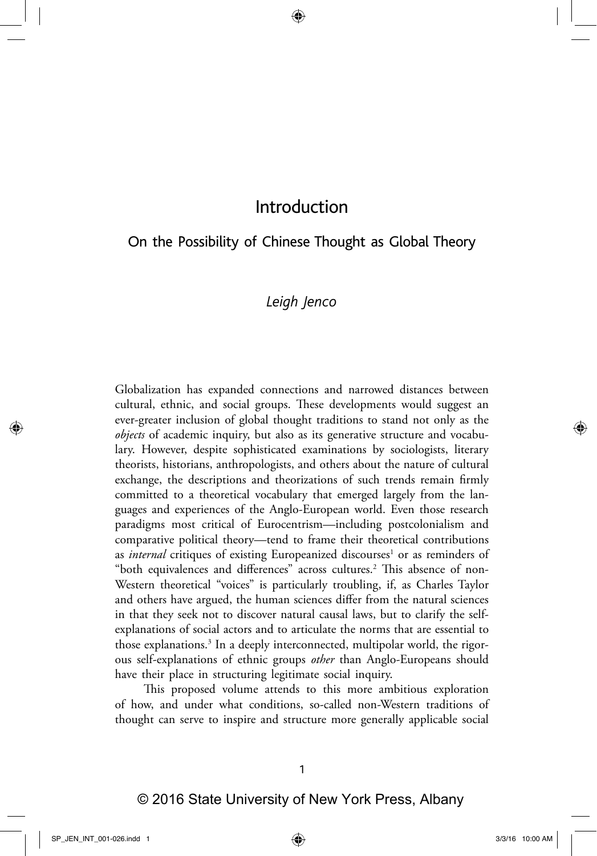# On the Possibility of Chinese Thought as Global Theory

## *Leigh Jenco*

Globalization has expanded connections and narrowed distances between cultural, ethnic, and social groups. These developments would suggest an ever-greater inclusion of global thought traditions to stand not only as the *objects* of academic inquiry, but also as its generative structure and vocabulary. However, despite sophisticated examinations by sociologists, literary theorists, historians, anthropologists, and others about the nature of cultural exchange, the descriptions and theorizations of such trends remain firmly committed to a theoretical vocabulary that emerged largely from the languages and experiences of the Anglo-European world. Even those research paradigms most critical of Eurocentrism—including postcolonialism and comparative political theory—tend to frame their theoretical contributions as *internal* critiques of existing Europeanized discourses<sup>1</sup> or as reminders of "both equivalences and differences" across cultures.<sup>2</sup> This absence of non-Western theoretical "voices" is particularly troubling, if, as Charles Taylor and others have argued, the human sciences differ from the natural sciences in that they seek not to discover natural causal laws, but to clarify the selfexplanations of social actors and to articulate the norms that are essential to those explanations.<sup>3</sup> In a deeply interconnected, multipolar world, the rigorous self-explanations of ethnic groups *other* than Anglo-Europeans should have their place in structuring legitimate social inquiry.

This proposed volume attends to this more ambitious exploration of how, and under what conditions, so-called non-Western traditions of thought can serve to inspire and structure more generally applicable social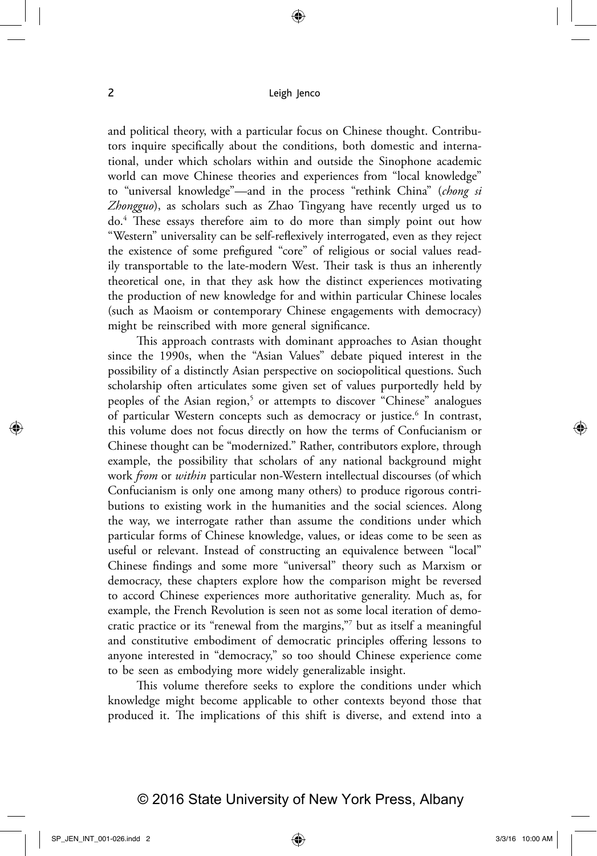and political theory, with a particular focus on Chinese thought. Contributors inquire specifically about the conditions, both domestic and international, under which scholars within and outside the Sinophone academic world can move Chinese theories and experiences from "local knowledge" to "universal knowledge"—and in the process "rethink China" (*chong si Zhongguo*), as scholars such as Zhao Tingyang have recently urged us to do.4 These essays therefore aim to do more than simply point out how "Western" universality can be self-reflexively interrogated, even as they reject the existence of some prefigured "core" of religious or social values readily transportable to the late-modern West. Their task is thus an inherently theoretical one, in that they ask how the distinct experiences motivating the production of new knowledge for and within particular Chinese locales (such as Maoism or contemporary Chinese engagements with democracy) might be reinscribed with more general significance.

This approach contrasts with dominant approaches to Asian thought since the 1990s, when the "Asian Values" debate piqued interest in the possibility of a distinctly Asian perspective on sociopolitical questions. Such scholarship often articulates some given set of values purportedly held by peoples of the Asian region,<sup>5</sup> or attempts to discover "Chinese" analogues of particular Western concepts such as democracy or justice.<sup>6</sup> In contrast, this volume does not focus directly on how the terms of Confucianism or Chinese thought can be "modernized." Rather, contributors explore, through example, the possibility that scholars of any national background might work *from* or *within* particular non-Western intellectual discourses (of which Confucianism is only one among many others) to produce rigorous contributions to existing work in the humanities and the social sciences. Along the way, we interrogate rather than assume the conditions under which particular forms of Chinese knowledge, values, or ideas come to be seen as useful or relevant. Instead of constructing an equivalence between "local" Chinese findings and some more "universal" theory such as Marxism or democracy, these chapters explore how the comparison might be reversed to accord Chinese experiences more authoritative generality. Much as, for example, the French Revolution is seen not as some local iteration of democratic practice or its "renewal from the margins,"7 but as itself a meaningful and constitutive embodiment of democratic principles offering lessons to anyone interested in "democracy," so too should Chinese experience come to be seen as embodying more widely generalizable insight.

This volume therefore seeks to explore the conditions under which knowledge might become applicable to other contexts beyond those that produced it. The implications of this shift is diverse, and extend into a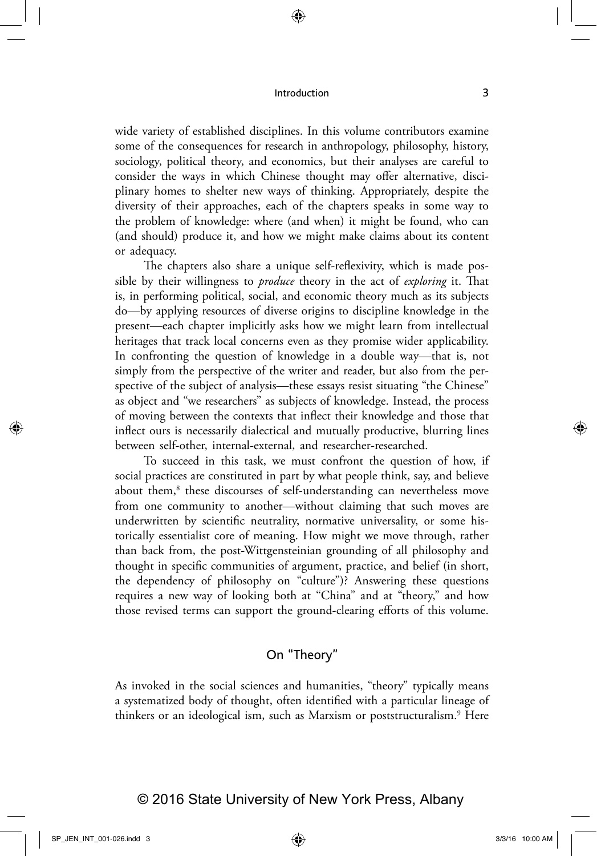wide variety of established disciplines. In this volume contributors examine some of the consequences for research in anthropology, philosophy, history, sociology, political theory, and economics, but their analyses are careful to consider the ways in which Chinese thought may offer alternative, disciplinary homes to shelter new ways of thinking. Appropriately, despite the diversity of their approaches, each of the chapters speaks in some way to the problem of knowledge: where (and when) it might be found, who can (and should) produce it, and how we might make claims about its content or adequacy.

The chapters also share a unique self-reflexivity, which is made possible by their willingness to *produce* theory in the act of *exploring* it. That is, in performing political, social, and economic theory much as its subjects do—by applying resources of diverse origins to discipline knowledge in the present—each chapter implicitly asks how we might learn from intellectual heritages that track local concerns even as they promise wider applicability. In confronting the question of knowledge in a double way—that is, not simply from the perspective of the writer and reader, but also from the perspective of the subject of analysis—these essays resist situating "the Chinese" as object and "we researchers" as subjects of knowledge. Instead, the process of moving between the contexts that inflect their knowledge and those that inflect ours is necessarily dialectical and mutually productive, blurring lines between self-other, internal-external, and researcher-researched.

To succeed in this task, we must confront the question of how, if social practices are constituted in part by what people think, say, and believe about them,<sup>8</sup> these discourses of self-understanding can nevertheless move from one community to another—without claiming that such moves are underwritten by scientific neutrality, normative universality, or some historically essentialist core of meaning. How might we move through, rather than back from, the post-Wittgensteinian grounding of all philosophy and thought in specific communities of argument, practice, and belief (in short, the dependency of philosophy on "culture")? Answering these questions requires a new way of looking both at "China" and at "theory," and how those revised terms can support the ground-clearing efforts of this volume.

## On "Theory"

As invoked in the social sciences and humanities, "theory" typically means a systematized body of thought, often identified with a particular lineage of thinkers or an ideological ism, such as Marxism or poststructuralism.<sup>9</sup> Here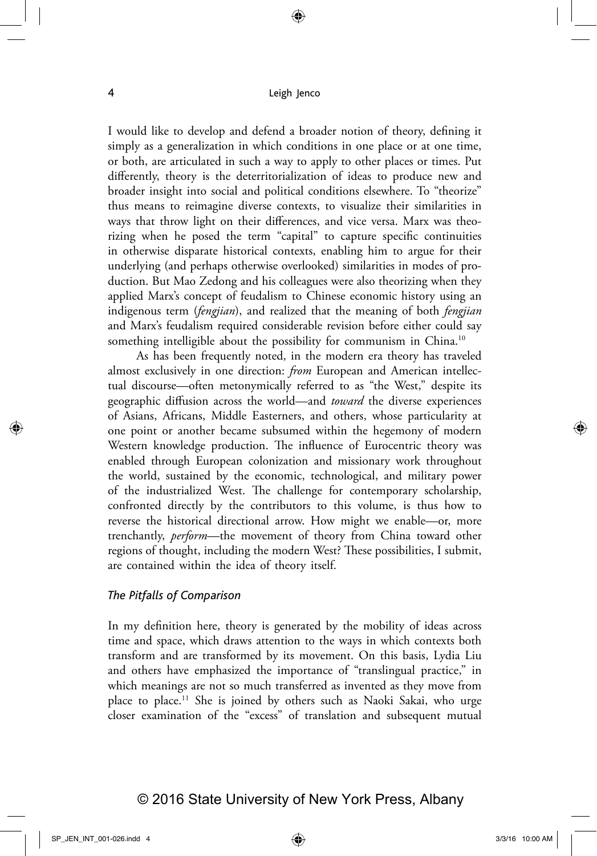I would like to develop and defend a broader notion of theory, defining it simply as a generalization in which conditions in one place or at one time, or both, are articulated in such a way to apply to other places or times. Put differently, theory is the deterritorialization of ideas to produce new and broader insight into social and political conditions elsewhere. To "theorize" thus means to reimagine diverse contexts, to visualize their similarities in ways that throw light on their differences, and vice versa. Marx was theorizing when he posed the term "capital" to capture specific continuities in otherwise disparate historical contexts, enabling him to argue for their underlying (and perhaps otherwise overlooked) similarities in modes of production. But Mao Zedong and his colleagues were also theorizing when they applied Marx's concept of feudalism to Chinese economic history using an indigenous term (*fengjian*), and realized that the meaning of both *fengjian* and Marx's feudalism required considerable revision before either could say something intelligible about the possibility for communism in China.<sup>10</sup>

As has been frequently noted, in the modern era theory has traveled almost exclusively in one direction: *from* European and American intellectual discourse—often metonymically referred to as "the West," despite its geographic diffusion across the world—and *toward* the diverse experiences of Asians, Africans, Middle Easterners, and others, whose particularity at one point or another became subsumed within the hegemony of modern Western knowledge production. The influence of Eurocentric theory was enabled through European colonization and missionary work throughout the world, sustained by the economic, technological, and military power of the industrialized West. The challenge for contemporary scholarship, confronted directly by the contributors to this volume, is thus how to reverse the historical directional arrow. How might we enable—or, more trenchantly, *perform*—the movement of theory from China toward other regions of thought, including the modern West? These possibilities, I submit, are contained within the idea of theory itself.

#### *The Pitfalls of Comparison*

In my definition here, theory is generated by the mobility of ideas across time and space, which draws attention to the ways in which contexts both transform and are transformed by its movement. On this basis, Lydia Liu and others have emphasized the importance of "translingual practice," in which meanings are not so much transferred as invented as they move from place to place.11 She is joined by others such as Naoki Sakai, who urge closer examination of the "excess" of translation and subsequent mutual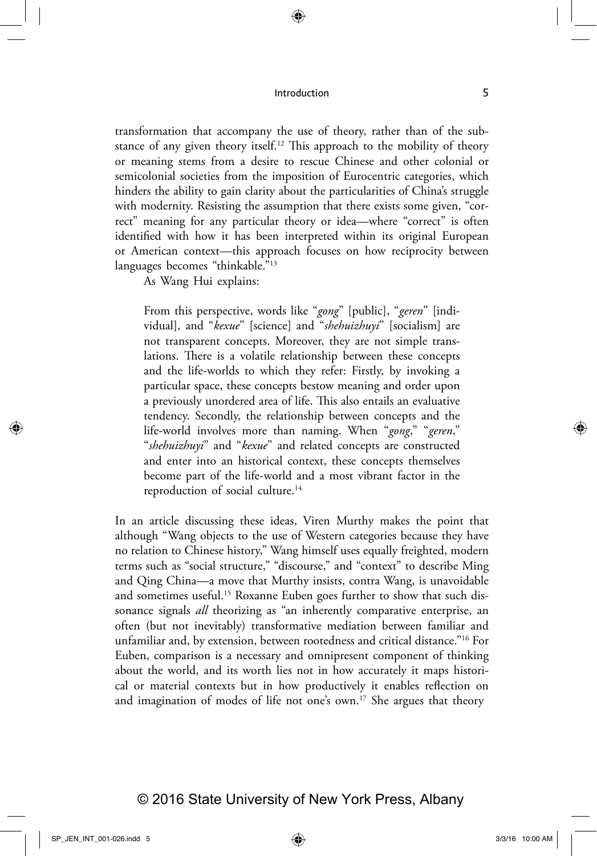transformation that accompany the use of theory, rather than of the substance of any given theory itself.<sup>12</sup> This approach to the mobility of theory or meaning stems from a desire to rescue Chinese and other colonial or semicolonial societies from the imposition of Eurocentric categories, which hinders the ability to gain clarity about the particularities of China's struggle with modernity. Resisting the assumption that there exists some given, "correct" meaning for any particular theory or idea—where "correct" is often identified with how it has been interpreted within its original European or American context—this approach focuses on how reciprocity between languages becomes "thinkable."13

As Wang Hui explains:

From this perspective, words like "*gong*" [public], "*geren*" [individual], and "*kexue*" [science] and "*shehuizhuyi*" [socialism] are not transparent concepts. Moreover, they are not simple translations. There is a volatile relationship between these concepts and the life-worlds to which they refer: Firstly, by invoking a particular space, these concepts bestow meaning and order upon a previously unordered area of life. This also entails an evaluative tendency. Secondly, the relationship between concepts and the life-world involves more than naming. When "*gong*," "*geren*," "*shehuizhuyi*" and "*kexue*" and related concepts are constructed and enter into an historical context, these concepts themselves become part of the life-world and a most vibrant factor in the reproduction of social culture.<sup>14</sup>

In an article discussing these ideas, Viren Murthy makes the point that although "Wang objects to the use of Western categories because they have no relation to Chinese history," Wang himself uses equally freighted, modern terms such as "social structure," "discourse," and "context" to describe Ming and Qing China—a move that Murthy insists, contra Wang, is unavoidable and sometimes useful.<sup>15</sup> Roxanne Euben goes further to show that such dissonance signals *all* theorizing as "an inherently comparative enterprise, an often (but not inevitably) transformative mediation between familiar and unfamiliar and, by extension, between rootedness and critical distance."16 For Euben, comparison is a necessary and omnipresent component of thinking about the world, and its worth lies not in how accurately it maps historical or material contexts but in how productively it enables reflection on and imagination of modes of life not one's own.17 She argues that theory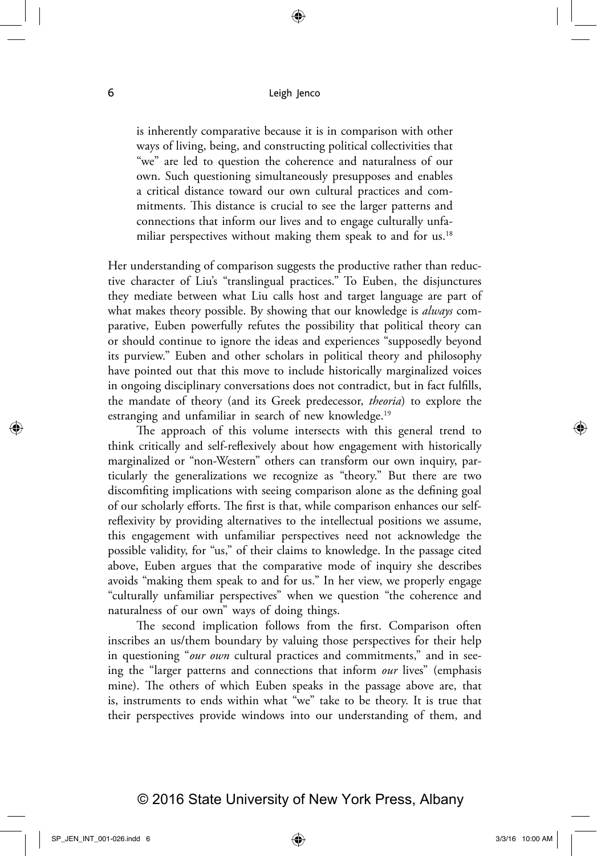is inherently comparative because it is in comparison with other ways of living, being, and constructing political collectivities that "we" are led to question the coherence and naturalness of our own. Such questioning simultaneously presupposes and enables a critical distance toward our own cultural practices and commitments. This distance is crucial to see the larger patterns and connections that inform our lives and to engage culturally unfamiliar perspectives without making them speak to and for us.<sup>18</sup>

Her understanding of comparison suggests the productive rather than reductive character of Liu's "translingual practices." To Euben, the disjunctures they mediate between what Liu calls host and target language are part of what makes theory possible. By showing that our knowledge is *always* comparative, Euben powerfully refutes the possibility that political theory can or should continue to ignore the ideas and experiences "supposedly beyond its purview." Euben and other scholars in political theory and philosophy have pointed out that this move to include historically marginalized voices in ongoing disciplinary conversations does not contradict, but in fact fulfills, the mandate of theory (and its Greek predecessor, *theoria*) to explore the estranging and unfamiliar in search of new knowledge.<sup>19</sup>

The approach of this volume intersects with this general trend to think critically and self-reflexively about how engagement with historically marginalized or "non-Western" others can transform our own inquiry, particularly the generalizations we recognize as "theory." But there are two discomfiting implications with seeing comparison alone as the defining goal of our scholarly efforts. The first is that, while comparison enhances our selfreflexivity by providing alternatives to the intellectual positions we assume, this engagement with unfamiliar perspectives need not acknowledge the possible validity, for "us," of their claims to knowledge. In the passage cited above, Euben argues that the comparative mode of inquiry she describes avoids "making them speak to and for us." In her view, we properly engage "culturally unfamiliar perspectives" when we question "the coherence and naturalness of our own" ways of doing things.

The second implication follows from the first. Comparison often inscribes an us/them boundary by valuing those perspectives for their help in questioning "*our own* cultural practices and commitments," and in seeing the "larger patterns and connections that inform *our* lives" (emphasis mine). The others of which Euben speaks in the passage above are, that is, instruments to ends within what "we" take to be theory. It is true that their perspectives provide windows into our understanding of them, and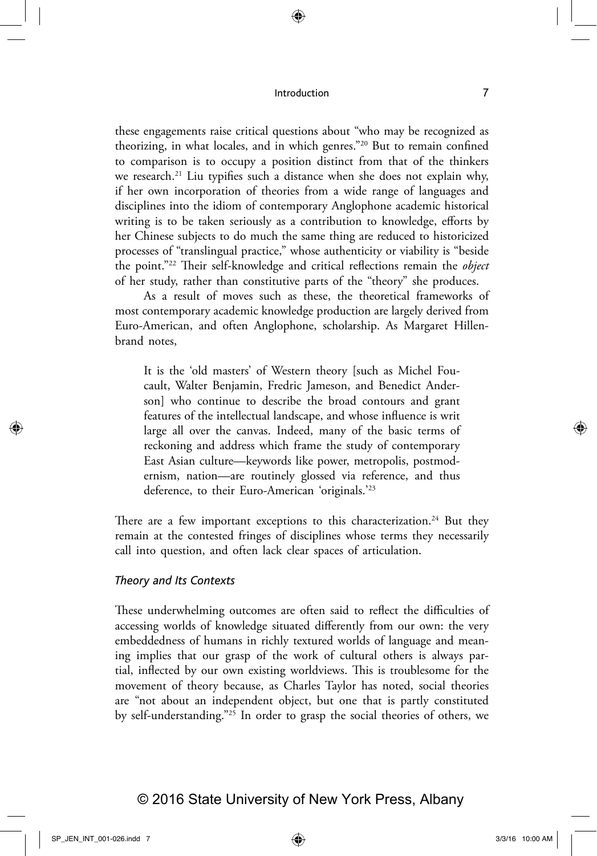these engagements raise critical questions about "who may be recognized as theorizing, in what locales, and in which genres."20 But to remain confined to comparison is to occupy a position distinct from that of the thinkers we research.<sup>21</sup> Liu typifies such a distance when she does not explain why, if her own incorporation of theories from a wide range of languages and disciplines into the idiom of contemporary Anglophone academic historical writing is to be taken seriously as a contribution to knowledge, efforts by her Chinese subjects to do much the same thing are reduced to historicized processes of "translingual practice," whose authenticity or viability is "beside the point."22 Their self-knowledge and critical reflections remain the *object* of her study, rather than constitutive parts of the "theory" she produces.

As a result of moves such as these, the theoretical frameworks of most contemporary academic knowledge production are largely derived from Euro-American, and often Anglophone, scholarship. As Margaret Hillenbrand notes,

It is the 'old masters' of Western theory [such as Michel Foucault, Walter Benjamin, Fredric Jameson, and Benedict Anderson] who continue to describe the broad contours and grant features of the intellectual landscape, and whose influence is writ large all over the canvas. Indeed, many of the basic terms of reckoning and address which frame the study of contemporary East Asian culture—keywords like power, metropolis, postmodernism, nation—are routinely glossed via reference, and thus deference, to their Euro-American 'originals.'23

There are a few important exceptions to this characterization.<sup>24</sup> But they remain at the contested fringes of disciplines whose terms they necessarily call into question, and often lack clear spaces of articulation.

#### *Theory and Its Contexts*

These underwhelming outcomes are often said to reflect the difficulties of accessing worlds of knowledge situated differently from our own: the very embeddedness of humans in richly textured worlds of language and meaning implies that our grasp of the work of cultural others is always partial, inflected by our own existing worldviews. This is troublesome for the movement of theory because, as Charles Taylor has noted, social theories are "not about an independent object, but one that is partly constituted by self-understanding."25 In order to grasp the social theories of others, we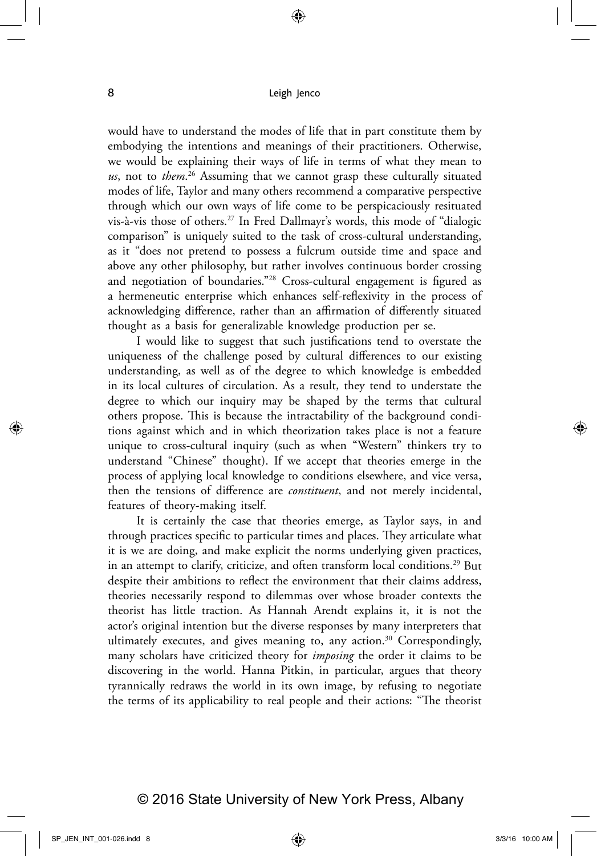would have to understand the modes of life that in part constitute them by embodying the intentions and meanings of their practitioners. Otherwise, we would be explaining their ways of life in terms of what they mean to *us*, not to *them*. 26 Assuming that we cannot grasp these culturally situated modes of life, Taylor and many others recommend a comparative perspective through which our own ways of life come to be perspicaciously resituated vis-à-vis those of others.27 In Fred Dallmayr's words, this mode of "dialogic comparison" is uniquely suited to the task of cross-cultural understanding, as it "does not pretend to possess a fulcrum outside time and space and above any other philosophy, but rather involves continuous border crossing and negotiation of boundaries."28 Cross-cultural engagement is figured as a hermeneutic enterprise which enhances self-reflexivity in the process of acknowledging difference, rather than an affirmation of differently situated thought as a basis for generalizable knowledge production per se.

I would like to suggest that such justifications tend to overstate the uniqueness of the challenge posed by cultural differences to our existing understanding, as well as of the degree to which knowledge is embedded in its local cultures of circulation. As a result, they tend to understate the degree to which our inquiry may be shaped by the terms that cultural others propose. This is because the intractability of the background conditions against which and in which theorization takes place is not a feature unique to cross-cultural inquiry (such as when "Western" thinkers try to understand "Chinese" thought). If we accept that theories emerge in the process of applying local knowledge to conditions elsewhere, and vice versa, then the tensions of difference are *constituent*, and not merely incidental, features of theory-making itself.

It is certainly the case that theories emerge, as Taylor says, in and through practices specific to particular times and places. They articulate what it is we are doing, and make explicit the norms underlying given practices, in an attempt to clarify, criticize, and often transform local conditions.<sup>29</sup> But despite their ambitions to reflect the environment that their claims address, theories necessarily respond to dilemmas over whose broader contexts the theorist has little traction. As Hannah Arendt explains it, it is not the actor's original intention but the diverse responses by many interpreters that ultimately executes, and gives meaning to, any action.<sup>30</sup> Correspondingly, many scholars have criticized theory for *imposing* the order it claims to be discovering in the world. Hanna Pitkin, in particular, argues that theory tyrannically redraws the world in its own image, by refusing to negotiate the terms of its applicability to real people and their actions: "The theorist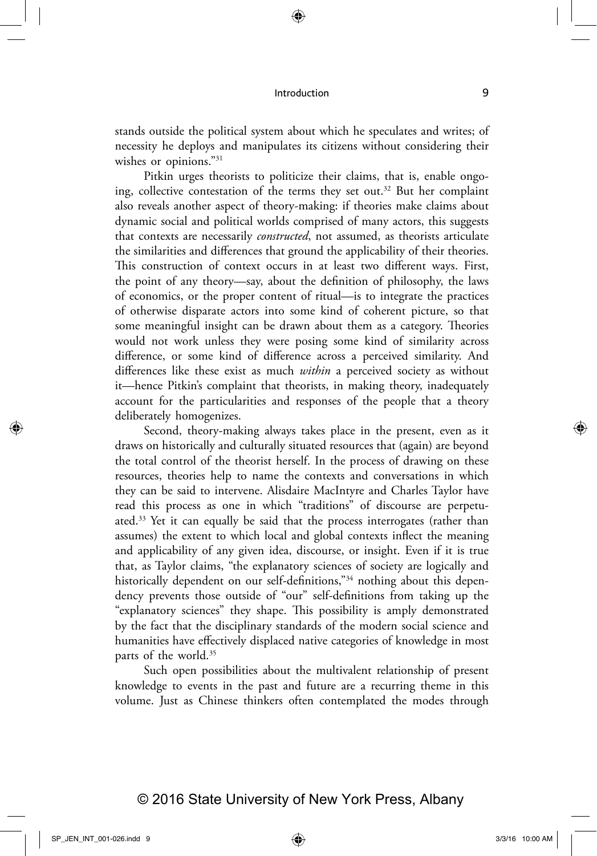stands outside the political system about which he speculates and writes; of necessity he deploys and manipulates its citizens without considering their wishes or opinions."<sup>31</sup>

Pitkin urges theorists to politicize their claims, that is, enable ongoing, collective contestation of the terms they set out.32 But her complaint also reveals another aspect of theory-making: if theories make claims about dynamic social and political worlds comprised of many actors, this suggests that contexts are necessarily *constructed*, not assumed, as theorists articulate the similarities and differences that ground the applicability of their theories. This construction of context occurs in at least two different ways. First, the point of any theory—say, about the definition of philosophy, the laws of economics, or the proper content of ritual—is to integrate the practices of otherwise disparate actors into some kind of coherent picture, so that some meaningful insight can be drawn about them as a category. Theories would not work unless they were posing some kind of similarity across difference, or some kind of difference across a perceived similarity. And differences like these exist as much *within* a perceived society as without it—hence Pitkin's complaint that theorists, in making theory, inadequately account for the particularities and responses of the people that a theory deliberately homogenizes.

Second, theory-making always takes place in the present, even as it draws on historically and culturally situated resources that (again) are beyond the total control of the theorist herself. In the process of drawing on these resources, theories help to name the contexts and conversations in which they can be said to intervene. Alisdaire MacIntyre and Charles Taylor have read this process as one in which "traditions" of discourse are perpetuated.33 Yet it can equally be said that the process interrogates (rather than assumes) the extent to which local and global contexts inflect the meaning and applicability of any given idea, discourse, or insight. Even if it is true that, as Taylor claims, "the explanatory sciences of society are logically and historically dependent on our self-definitions,"<sup>34</sup> nothing about this dependency prevents those outside of "our" self-definitions from taking up the "explanatory sciences" they shape. This possibility is amply demonstrated by the fact that the disciplinary standards of the modern social science and humanities have effectively displaced native categories of knowledge in most parts of the world.35

Such open possibilities about the multivalent relationship of present knowledge to events in the past and future are a recurring theme in this volume. Just as Chinese thinkers often contemplated the modes through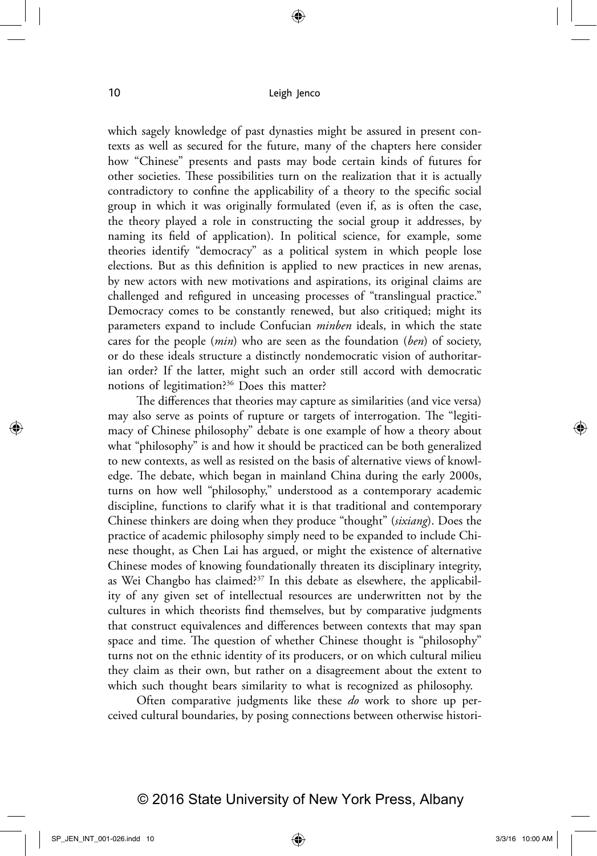which sagely knowledge of past dynasties might be assured in present contexts as well as secured for the future, many of the chapters here consider how "Chinese" presents and pasts may bode certain kinds of futures for other societies. These possibilities turn on the realization that it is actually contradictory to confine the applicability of a theory to the specific social group in which it was originally formulated (even if, as is often the case, the theory played a role in constructing the social group it addresses, by naming its field of application). In political science, for example, some theories identify "democracy" as a political system in which people lose elections. But as this definition is applied to new practices in new arenas, by new actors with new motivations and aspirations, its original claims are challenged and refigured in unceasing processes of "translingual practice." Democracy comes to be constantly renewed, but also critiqued; might its parameters expand to include Confucian *minben* ideals, in which the state cares for the people (*min*) who are seen as the foundation (*ben*) of society, or do these ideals structure a distinctly nondemocratic vision of authoritarian order? If the latter, might such an order still accord with democratic notions of legitimation?36 Does this matter?

The differences that theories may capture as similarities (and vice versa) may also serve as points of rupture or targets of interrogation. The "legitimacy of Chinese philosophy" debate is one example of how a theory about what "philosophy" is and how it should be practiced can be both generalized to new contexts, as well as resisted on the basis of alternative views of knowledge. The debate, which began in mainland China during the early 2000s, turns on how well "philosophy," understood as a contemporary academic discipline, functions to clarify what it is that traditional and contemporary Chinese thinkers are doing when they produce "thought" (*sixiang*). Does the practice of academic philosophy simply need to be expanded to include Chinese thought, as Chen Lai has argued, or might the existence of alternative Chinese modes of knowing foundationally threaten its disciplinary integrity, as Wei Changbo has claimed?37 In this debate as elsewhere, the applicability of any given set of intellectual resources are underwritten not by the cultures in which theorists find themselves, but by comparative judgments that construct equivalences and differences between contexts that may span space and time. The question of whether Chinese thought is "philosophy" turns not on the ethnic identity of its producers, or on which cultural milieu they claim as their own, but rather on a disagreement about the extent to which such thought bears similarity to what is recognized as philosophy.

Often comparative judgments like these *do* work to shore up perceived cultural boundaries, by posing connections between otherwise histori-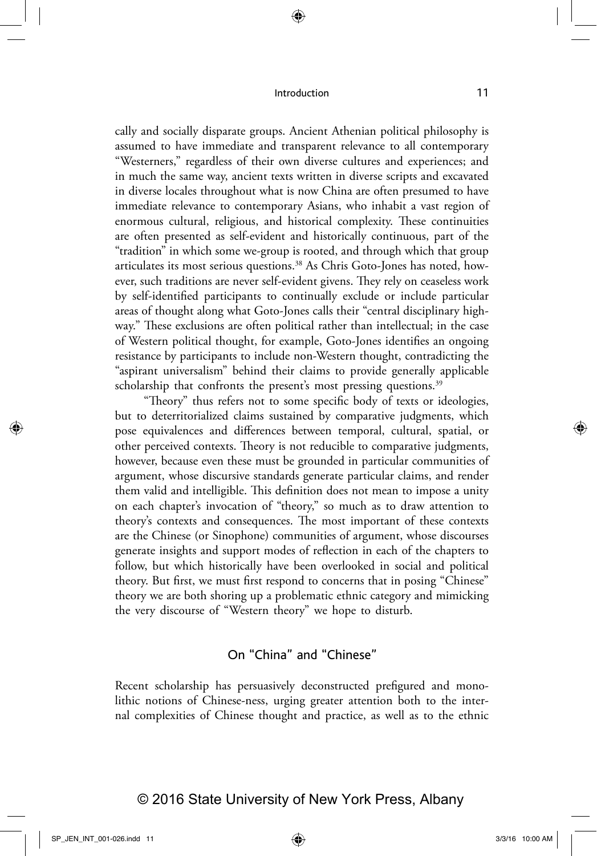cally and socially disparate groups. Ancient Athenian political philosophy is assumed to have immediate and transparent relevance to all contemporary "Westerners," regardless of their own diverse cultures and experiences; and in much the same way, ancient texts written in diverse scripts and excavated in diverse locales throughout what is now China are often presumed to have immediate relevance to contemporary Asians, who inhabit a vast region of enormous cultural, religious, and historical complexity. These continuities are often presented as self-evident and historically continuous, part of the "tradition" in which some we-group is rooted, and through which that group articulates its most serious questions.<sup>38</sup> As Chris Goto-Jones has noted, however, such traditions are never self-evident givens. They rely on ceaseless work by self-identified participants to continually exclude or include particular areas of thought along what Goto-Jones calls their "central disciplinary highway." These exclusions are often political rather than intellectual; in the case of Western political thought, for example, Goto-Jones identifies an ongoing resistance by participants to include non-Western thought, contradicting the "aspirant universalism" behind their claims to provide generally applicable scholarship that confronts the present's most pressing questions.<sup>39</sup>

"Theory" thus refers not to some specific body of texts or ideologies, but to deterritorialized claims sustained by comparative judgments, which pose equivalences and differences between temporal, cultural, spatial, or other perceived contexts. Theory is not reducible to comparative judgments, however, because even these must be grounded in particular communities of argument, whose discursive standards generate particular claims, and render them valid and intelligible. This definition does not mean to impose a unity on each chapter's invocation of "theory," so much as to draw attention to theory's contexts and consequences. The most important of these contexts are the Chinese (or Sinophone) communities of argument, whose discourses generate insights and support modes of reflection in each of the chapters to follow, but which historically have been overlooked in social and political theory. But first, we must first respond to concerns that in posing "Chinese" theory we are both shoring up a problematic ethnic category and mimicking the very discourse of "Western theory" we hope to disturb.

## On "China" and "Chinese"

Recent scholarship has persuasively deconstructed prefigured and monolithic notions of Chinese-ness, urging greater attention both to the internal complexities of Chinese thought and practice, as well as to the ethnic

## © 2016 State University of New York Press, Albany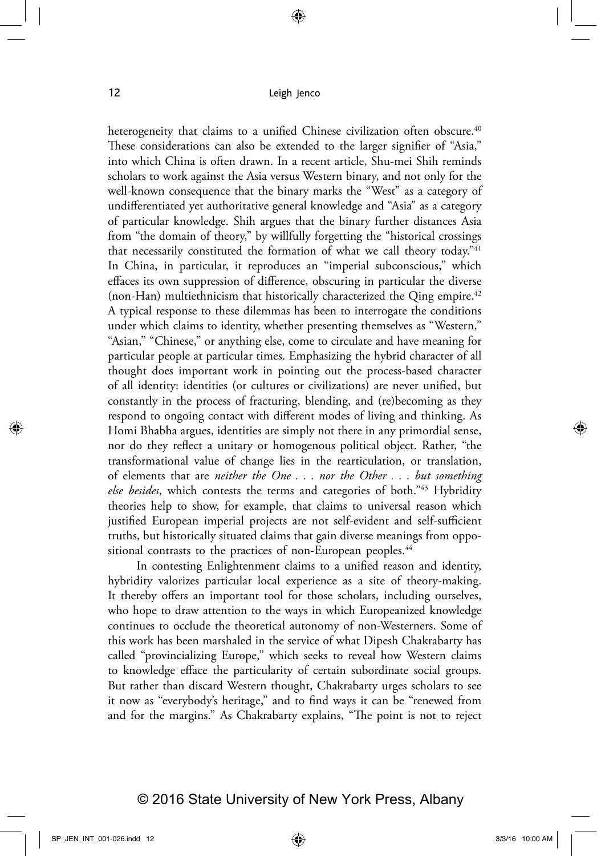heterogeneity that claims to a unified Chinese civilization often obscure.<sup>40</sup> These considerations can also be extended to the larger signifier of "Asia," into which China is often drawn. In a recent article, Shu-mei Shih reminds scholars to work against the Asia versus Western binary, and not only for the well-known consequence that the binary marks the "West" as a category of undifferentiated yet authoritative general knowledge and "Asia" as a category of particular knowledge. Shih argues that the binary further distances Asia from "the domain of theory," by willfully forgetting the "historical crossings that necessarily constituted the formation of what we call theory today."<sup>41</sup> In China, in particular, it reproduces an "imperial subconscious," which effaces its own suppression of difference, obscuring in particular the diverse (non-Han) multiethnicism that historically characterized the Qing empire. $42$ A typical response to these dilemmas has been to interrogate the conditions under which claims to identity, whether presenting themselves as "Western," "Asian," "Chinese," or anything else, come to circulate and have meaning for particular people at particular times. Emphasizing the hybrid character of all thought does important work in pointing out the process-based character of all identity: identities (or cultures or civilizations) are never unified, but constantly in the process of fracturing, blending, and (re)becoming as they respond to ongoing contact with different modes of living and thinking. As Homi Bhabha argues, identities are simply not there in any primordial sense, nor do they reflect a unitary or homogenous political object. Rather, "the transformational value of change lies in the rearticulation, or translation, of elements that are *neither the One . . . nor the Other . . . but something else besides*, which contests the terms and categories of both."43 Hybridity theories help to show, for example, that claims to universal reason which justified European imperial projects are not self-evident and self-sufficient truths, but historically situated claims that gain diverse meanings from oppositional contrasts to the practices of non-European peoples.<sup>44</sup>

In contesting Enlightenment claims to a unified reason and identity, hybridity valorizes particular local experience as a site of theory-making. It thereby offers an important tool for those scholars, including ourselves, who hope to draw attention to the ways in which Europeanized knowledge continues to occlude the theoretical autonomy of non-Westerners. Some of this work has been marshaled in the service of what Dipesh Chakrabarty has called "provincializing Europe," which seeks to reveal how Western claims to knowledge efface the particularity of certain subordinate social groups. But rather than discard Western thought, Chakrabarty urges scholars to see it now as "everybody's heritage," and to find ways it can be "renewed from and for the margins." As Chakrabarty explains, "The point is not to reject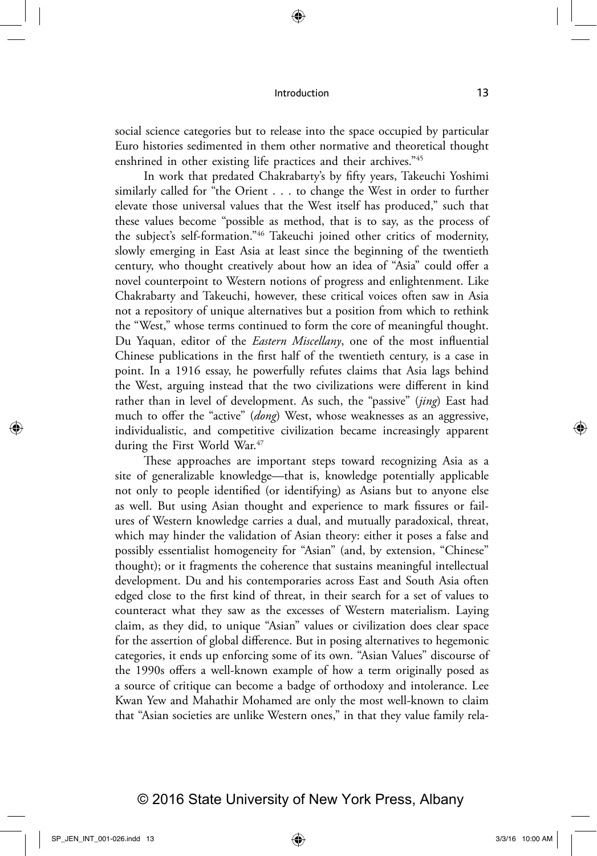social science categories but to release into the space occupied by particular Euro histories sedimented in them other normative and theoretical thought enshrined in other existing life practices and their archives."45

In work that predated Chakrabarty's by fifty years, Takeuchi Yoshimi similarly called for "the Orient . . . to change the West in order to further elevate those universal values that the West itself has produced," such that these values become "possible as method, that is to say, as the process of the subject's self-formation."46 Takeuchi joined other critics of modernity, slowly emerging in East Asia at least since the beginning of the twentieth century, who thought creatively about how an idea of "Asia" could offer a novel counterpoint to Western notions of progress and enlightenment. Like Chakrabarty and Takeuchi, however, these critical voices often saw in Asia not a repository of unique alternatives but a position from which to rethink the "West," whose terms continued to form the core of meaningful thought. Du Yaquan, editor of the *Eastern Miscellany*, one of the most influential Chinese publications in the first half of the twentieth century, is a case in point. In a 1916 essay, he powerfully refutes claims that Asia lags behind the West, arguing instead that the two civilizations were different in kind rather than in level of development. As such, the "passive" (*jing*) East had much to offer the "active" (*dong*) West, whose weaknesses as an aggressive, individualistic, and competitive civilization became increasingly apparent during the First World War.<sup>47</sup>

These approaches are important steps toward recognizing Asia as a site of generalizable knowledge—that is, knowledge potentially applicable not only to people identified (or identifying) as Asians but to anyone else as well. But using Asian thought and experience to mark fissures or failures of Western knowledge carries a dual, and mutually paradoxical, threat, which may hinder the validation of Asian theory: either it poses a false and possibly essentialist homogeneity for "Asian" (and, by extension, "Chinese" thought); or it fragments the coherence that sustains meaningful intellectual development. Du and his contemporaries across East and South Asia often edged close to the first kind of threat, in their search for a set of values to counteract what they saw as the excesses of Western materialism. Laying claim, as they did, to unique "Asian" values or civilization does clear space for the assertion of global difference. But in posing alternatives to hegemonic categories, it ends up enforcing some of its own. "Asian Values" discourse of the 1990s offers a well-known example of how a term originally posed as a source of critique can become a badge of orthodoxy and intolerance. Lee Kwan Yew and Mahathir Mohamed are only the most well-known to claim that "Asian societies are unlike Western ones," in that they value family rela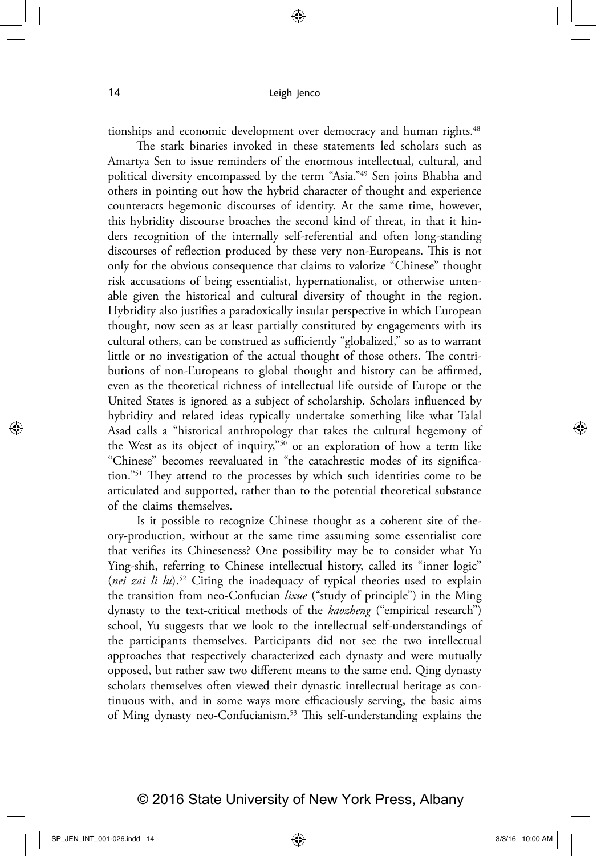tionships and economic development over democracy and human rights.<sup>48</sup>

The stark binaries invoked in these statements led scholars such as Amartya Sen to issue reminders of the enormous intellectual, cultural, and political diversity encompassed by the term "Asia."49 Sen joins Bhabha and others in pointing out how the hybrid character of thought and experience counteracts hegemonic discourses of identity. At the same time, however, this hybridity discourse broaches the second kind of threat, in that it hinders recognition of the internally self-referential and often long-standing discourses of reflection produced by these very non-Europeans. This is not only for the obvious consequence that claims to valorize "Chinese" thought risk accusations of being essentialist, hypernationalist, or otherwise untenable given the historical and cultural diversity of thought in the region. Hybridity also justifies a paradoxically insular perspective in which European thought, now seen as at least partially constituted by engagements with its cultural others, can be construed as sufficiently "globalized," so as to warrant little or no investigation of the actual thought of those others. The contributions of non-Europeans to global thought and history can be affirmed, even as the theoretical richness of intellectual life outside of Europe or the United States is ignored as a subject of scholarship. Scholars influenced by hybridity and related ideas typically undertake something like what Talal Asad calls a "historical anthropology that takes the cultural hegemony of the West as its object of inquiry,"50 or an exploration of how a term like "Chinese" becomes reevaluated in "the catachrestic modes of its signification."51 They attend to the processes by which such identities come to be articulated and supported, rather than to the potential theoretical substance of the claims themselves.

Is it possible to recognize Chinese thought as a coherent site of theory-production, without at the same time assuming some essentialist core that verifies its Chineseness? One possibility may be to consider what Yu Ying-shih, referring to Chinese intellectual history, called its "inner logic" (*nei zai li lu*).52 Citing the inadequacy of typical theories used to explain the transition from neo-Confucian *lixue* ("study of principle") in the Ming dynasty to the text-critical methods of the *kaozheng* ("empirical research") school, Yu suggests that we look to the intellectual self-understandings of the participants themselves. Participants did not see the two intellectual approaches that respectively characterized each dynasty and were mutually opposed, but rather saw two different means to the same end. Qing dynasty scholars themselves often viewed their dynastic intellectual heritage as continuous with, and in some ways more efficaciously serving, the basic aims of Ming dynasty neo-Confucianism.53 This self-understanding explains the

## © 2016 State University of New York Press, Albany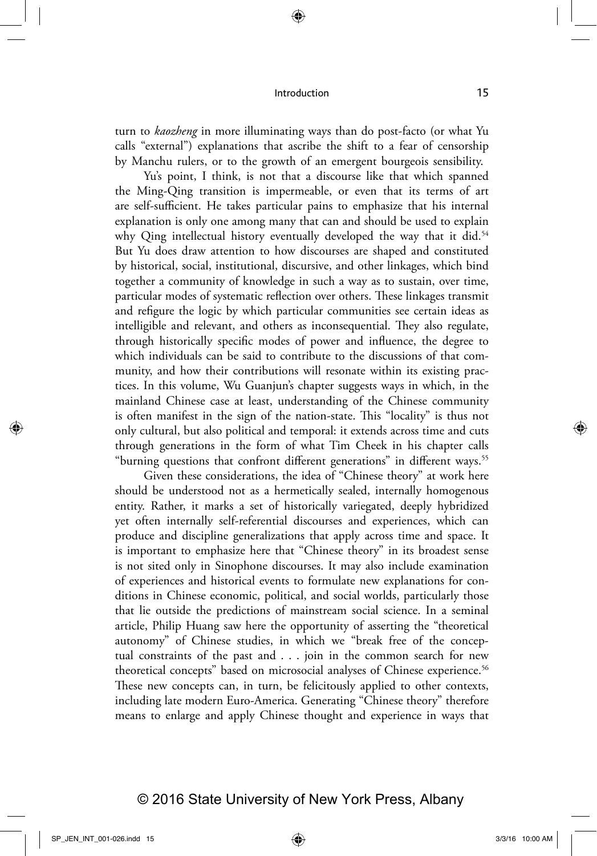turn to *kaozheng* in more illuminating ways than do post-facto (or what Yu calls "external") explanations that ascribe the shift to a fear of censorship by Manchu rulers, or to the growth of an emergent bourgeois sensibility.

Yu's point, I think, is not that a discourse like that which spanned the Ming-Qing transition is impermeable, or even that its terms of art are self-sufficient. He takes particular pains to emphasize that his internal explanation is only one among many that can and should be used to explain why Qing intellectual history eventually developed the way that it did.<sup>54</sup> But Yu does draw attention to how discourses are shaped and constituted by historical, social, institutional, discursive, and other linkages, which bind together a community of knowledge in such a way as to sustain, over time, particular modes of systematic reflection over others. These linkages transmit and refigure the logic by which particular communities see certain ideas as intelligible and relevant, and others as inconsequential. They also regulate, through historically specific modes of power and influence, the degree to which individuals can be said to contribute to the discussions of that community, and how their contributions will resonate within its existing practices. In this volume, Wu Guanjun's chapter suggests ways in which, in the mainland Chinese case at least, understanding of the Chinese community is often manifest in the sign of the nation-state. This "locality" is thus not only cultural, but also political and temporal: it extends across time and cuts through generations in the form of what Tim Cheek in his chapter calls "burning questions that confront different generations" in different ways.<sup>55</sup>

Given these considerations, the idea of "Chinese theory" at work here should be understood not as a hermetically sealed, internally homogenous entity. Rather, it marks a set of historically variegated, deeply hybridized yet often internally self-referential discourses and experiences, which can produce and discipline generalizations that apply across time and space. It is important to emphasize here that "Chinese theory" in its broadest sense is not sited only in Sinophone discourses. It may also include examination of experiences and historical events to formulate new explanations for conditions in Chinese economic, political, and social worlds, particularly those that lie outside the predictions of mainstream social science. In a seminal article, Philip Huang saw here the opportunity of asserting the "theoretical autonomy" of Chinese studies, in which we "break free of the conceptual constraints of the past and . . . join in the common search for new theoretical concepts" based on microsocial analyses of Chinese experience.<sup>56</sup> These new concepts can, in turn, be felicitously applied to other contexts, including late modern Euro-America. Generating "Chinese theory" therefore means to enlarge and apply Chinese thought and experience in ways that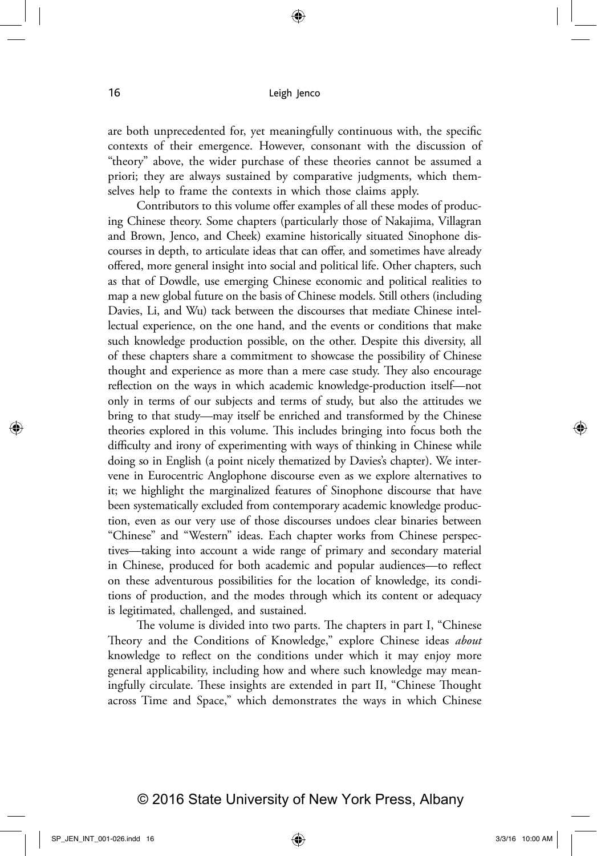are both unprecedented for, yet meaningfully continuous with, the specific contexts of their emergence. However, consonant with the discussion of "theory" above, the wider purchase of these theories cannot be assumed a priori; they are always sustained by comparative judgments, which themselves help to frame the contexts in which those claims apply.

Contributors to this volume offer examples of all these modes of producing Chinese theory. Some chapters (particularly those of Nakajima, Villagran and Brown, Jenco, and Cheek) examine historically situated Sinophone discourses in depth, to articulate ideas that can offer, and sometimes have already offered, more general insight into social and political life. Other chapters, such as that of Dowdle, use emerging Chinese economic and political realities to map a new global future on the basis of Chinese models. Still others (including Davies, Li, and Wu) tack between the discourses that mediate Chinese intellectual experience, on the one hand, and the events or conditions that make such knowledge production possible, on the other. Despite this diversity, all of these chapters share a commitment to showcase the possibility of Chinese thought and experience as more than a mere case study. They also encourage reflection on the ways in which academic knowledge-production itself—not only in terms of our subjects and terms of study, but also the attitudes we bring to that study—may itself be enriched and transformed by the Chinese theories explored in this volume. This includes bringing into focus both the difficulty and irony of experimenting with ways of thinking in Chinese while doing so in English (a point nicely thematized by Davies's chapter). We intervene in Eurocentric Anglophone discourse even as we explore alternatives to it; we highlight the marginalized features of Sinophone discourse that have been systematically excluded from contemporary academic knowledge production, even as our very use of those discourses undoes clear binaries between "Chinese" and "Western" ideas. Each chapter works from Chinese perspectives—taking into account a wide range of primary and secondary material in Chinese, produced for both academic and popular audiences—to reflect on these adventurous possibilities for the location of knowledge, its conditions of production, and the modes through which its content or adequacy is legitimated, challenged, and sustained.

The volume is divided into two parts. The chapters in part I, "Chinese Theory and the Conditions of Knowledge," explore Chinese ideas *about* knowledge to reflect on the conditions under which it may enjoy more general applicability, including how and where such knowledge may meaningfully circulate. These insights are extended in part II, "Chinese Thought across Time and Space," which demonstrates the ways in which Chinese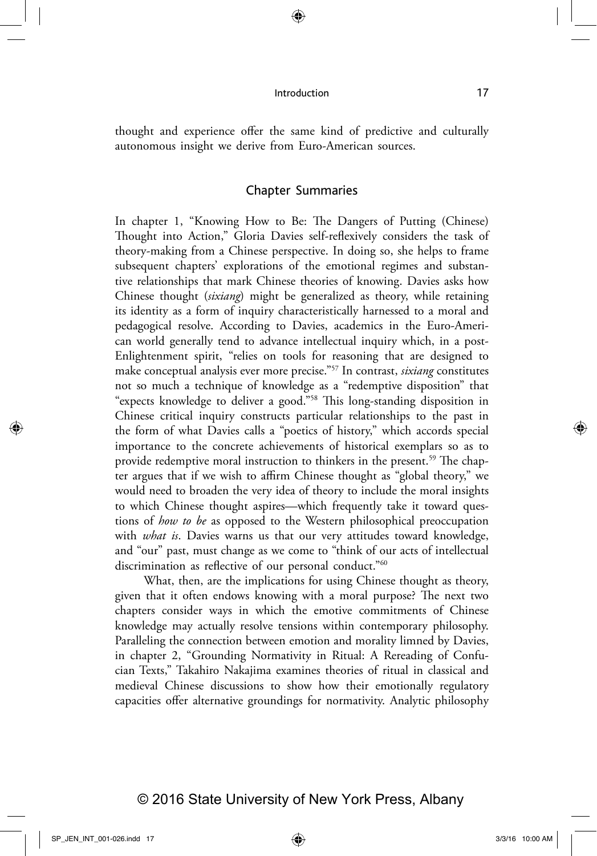thought and experience offer the same kind of predictive and culturally autonomous insight we derive from Euro-American sources.

### Chapter Summaries

In chapter 1, "Knowing How to Be: The Dangers of Putting (Chinese) Thought into Action," Gloria Davies self-reflexively considers the task of theory-making from a Chinese perspective. In doing so, she helps to frame subsequent chapters' explorations of the emotional regimes and substantive relationships that mark Chinese theories of knowing. Davies asks how Chinese thought (*sixiang*) might be generalized as theory, while retaining its identity as a form of inquiry characteristically harnessed to a moral and pedagogical resolve. According to Davies, academics in the Euro-American world generally tend to advance intellectual inquiry which, in a post-Enlightenment spirit, "relies on tools for reasoning that are designed to make conceptual analysis ever more precise."57 In contrast, *sixiang* constitutes not so much a technique of knowledge as a "redemptive disposition" that "expects knowledge to deliver a good."58 This long-standing disposition in Chinese critical inquiry constructs particular relationships to the past in the form of what Davies calls a "poetics of history," which accords special importance to the concrete achievements of historical exemplars so as to provide redemptive moral instruction to thinkers in the present.<sup>59</sup> The chapter argues that if we wish to affirm Chinese thought as "global theory," we would need to broaden the very idea of theory to include the moral insights to which Chinese thought aspires—which frequently take it toward questions of *how to be* as opposed to the Western philosophical preoccupation with *what is*. Davies warns us that our very attitudes toward knowledge, and "our" past, must change as we come to "think of our acts of intellectual discrimination as reflective of our personal conduct."<sup>60</sup>

What, then, are the implications for using Chinese thought as theory, given that it often endows knowing with a moral purpose? The next two chapters consider ways in which the emotive commitments of Chinese knowledge may actually resolve tensions within contemporary philosophy. Paralleling the connection between emotion and morality limned by Davies, in chapter 2, "Grounding Normativity in Ritual: A Rereading of Confucian Texts," Takahiro Nakajima examines theories of ritual in classical and medieval Chinese discussions to show how their emotionally regulatory capacities offer alternative groundings for normativity. Analytic philosophy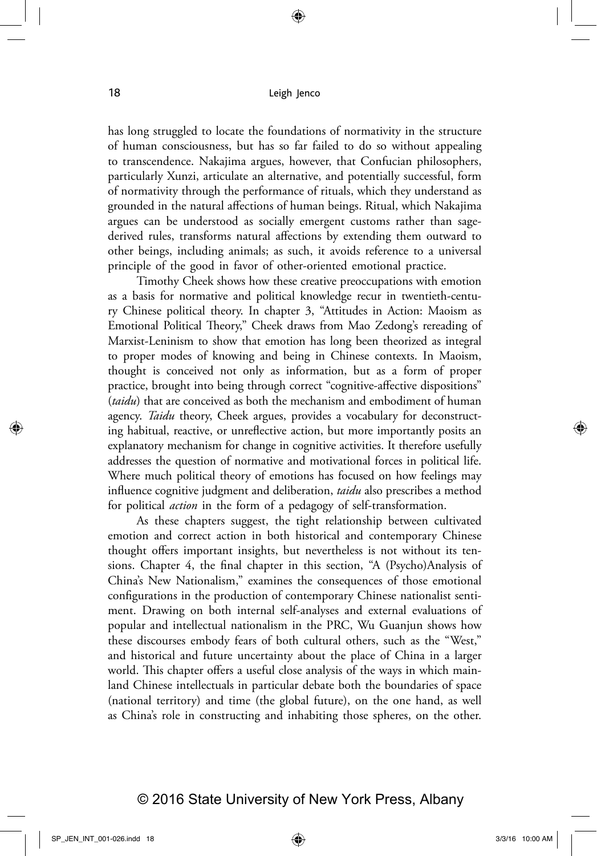has long struggled to locate the foundations of normativity in the structure of human consciousness, but has so far failed to do so without appealing to transcendence. Nakajima argues, however, that Confucian philosophers, particularly Xunzi, articulate an alternative, and potentially successful, form of normativity through the performance of rituals, which they understand as grounded in the natural affections of human beings. Ritual, which Nakajima argues can be understood as socially emergent customs rather than sagederived rules, transforms natural affections by extending them outward to other beings, including animals; as such, it avoids reference to a universal principle of the good in favor of other-oriented emotional practice.

Timothy Cheek shows how these creative preoccupations with emotion as a basis for normative and political knowledge recur in twentieth-century Chinese political theory. In chapter 3, "Attitudes in Action: Maoism as Emotional Political Theory," Cheek draws from Mao Zedong's rereading of Marxist-Leninism to show that emotion has long been theorized as integral to proper modes of knowing and being in Chinese contexts. In Maoism, thought is conceived not only as information, but as a form of proper practice, brought into being through correct "cognitive-affective dispositions" (*taidu*) that are conceived as both the mechanism and embodiment of human agency. *Taidu* theory, Cheek argues, provides a vocabulary for deconstructing habitual, reactive, or unreflective action, but more importantly posits an explanatory mechanism for change in cognitive activities. It therefore usefully addresses the question of normative and motivational forces in political life. Where much political theory of emotions has focused on how feelings may influence cognitive judgment and deliberation, *taidu* also prescribes a method for political *action* in the form of a pedagogy of self-transformation.

As these chapters suggest, the tight relationship between cultivated emotion and correct action in both historical and contemporary Chinese thought offers important insights, but nevertheless is not without its tensions. Chapter 4, the final chapter in this section, "A (Psycho)Analysis of China's New Nationalism," examines the consequences of those emotional configurations in the production of contemporary Chinese nationalist sentiment. Drawing on both internal self-analyses and external evaluations of popular and intellectual nationalism in the PRC, Wu Guanjun shows how these discourses embody fears of both cultural others, such as the "West," and historical and future uncertainty about the place of China in a larger world. This chapter offers a useful close analysis of the ways in which mainland Chinese intellectuals in particular debate both the boundaries of space (national territory) and time (the global future), on the one hand, as well as China's role in constructing and inhabiting those spheres, on the other.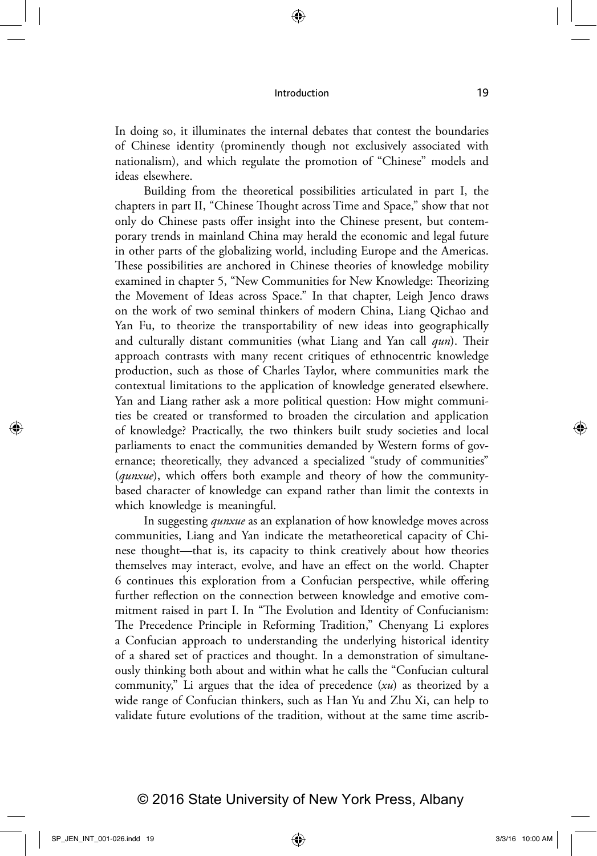In doing so, it illuminates the internal debates that contest the boundaries of Chinese identity (prominently though not exclusively associated with nationalism), and which regulate the promotion of "Chinese" models and ideas elsewhere.

Building from the theoretical possibilities articulated in part I, the chapters in part II, "Chinese Thought across Time and Space," show that not only do Chinese pasts offer insight into the Chinese present, but contemporary trends in mainland China may herald the economic and legal future in other parts of the globalizing world, including Europe and the Americas. These possibilities are anchored in Chinese theories of knowledge mobility examined in chapter 5, "New Communities for New Knowledge: Theorizing the Movement of Ideas across Space." In that chapter, Leigh Jenco draws on the work of two seminal thinkers of modern China, Liang Qichao and Yan Fu, to theorize the transportability of new ideas into geographically and culturally distant communities (what Liang and Yan call *qun*). Their approach contrasts with many recent critiques of ethnocentric knowledge production, such as those of Charles Taylor, where communities mark the contextual limitations to the application of knowledge generated elsewhere. Yan and Liang rather ask a more political question: How might communities be created or transformed to broaden the circulation and application of knowledge? Practically, the two thinkers built study societies and local parliaments to enact the communities demanded by Western forms of governance; theoretically, they advanced a specialized "study of communities" (*qunxue*), which offers both example and theory of how the communitybased character of knowledge can expand rather than limit the contexts in which knowledge is meaningful.

In suggesting *qunxue* as an explanation of how knowledge moves across communities, Liang and Yan indicate the metatheoretical capacity of Chinese thought—that is, its capacity to think creatively about how theories themselves may interact, evolve, and have an effect on the world. Chapter 6 continues this exploration from a Confucian perspective, while offering further reflection on the connection between knowledge and emotive commitment raised in part I. In "The Evolution and Identity of Confucianism: The Precedence Principle in Reforming Tradition," Chenyang Li explores a Confucian approach to understanding the underlying historical identity of a shared set of practices and thought. In a demonstration of simultaneously thinking both about and within what he calls the "Confucian cultural community," Li argues that the idea of precedence (*xu*) as theorized by a wide range of Confucian thinkers, such as Han Yu and Zhu Xi, can help to validate future evolutions of the tradition, without at the same time ascrib